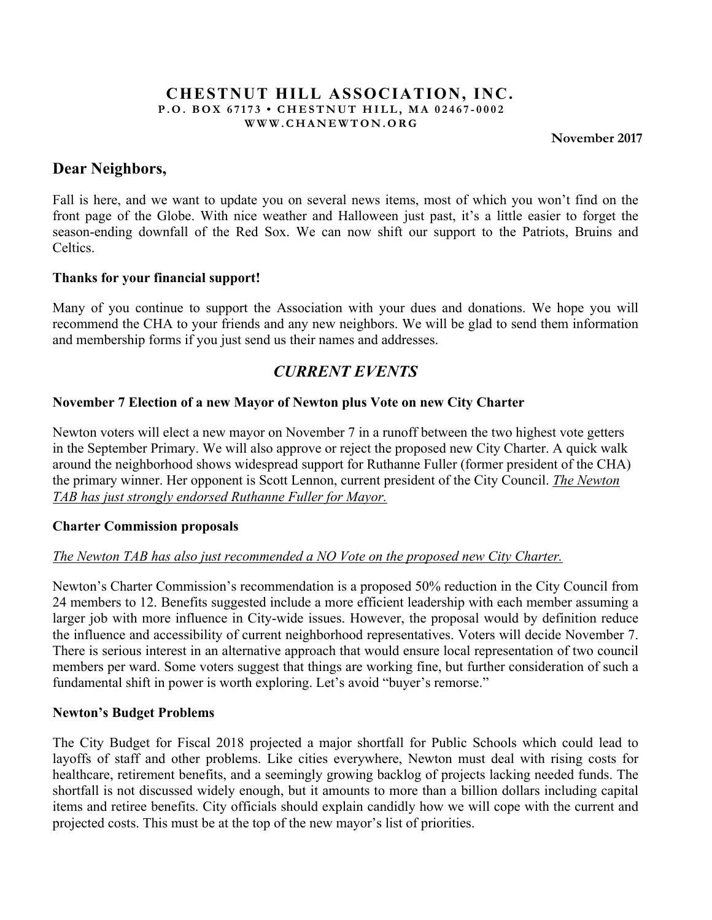#### **CHESTNUT HILL ASSOCIATION, INC. P.O. BOX 67173 • CHESTNUT HILL, MA 02467 - 0002 WWW.CHANEWTON.ORG**

 **November 2017**

# **Dear Neighbors,**

Fall is here, and we want to update you on several news items, most of which you won't find on the front page of the Globe. With nice weather and Halloween just past, it's a little easier to forget the season-ending downfall of the Red Sox. We can now shift our support to the Patriots, Bruins and **Celtics** 

### **Thanks for your financial support!**

Many of you continue to support the Association with your dues and donations. We hope you will recommend the CHA to your friends and any new neighbors. We will be glad to send them information and membership forms if you just send us their names and addresses.

# *CURRENT EVENTS*

# **November 7 Election of a new Mayor of Newton plus Vote on new City Charter**

Newton voters will elect a new mayor on November 7 in a runoff between the two highest vote getters in the September Primary. We will also approve or reject the proposed new City Charter. A quick walk around the neighborhood shows widespread support for Ruthanne Fuller (former president of the CHA) the primary winner. Her opponent is Scott Lennon, current president of the City Council. *The Newton TAB has just strongly endorsed Ruthanne Fuller for Mayor.*

# **Charter Commission proposals**

# *The Newton TAB has also just recommended a NO Vote on the proposed new City Charter.*

Newton's Charter Commission's recommendation is a proposed 50% reduction in the City Council from 24 members to 12. Benefits suggested include a more efficient leadership with each member assuming a larger job with more influence in City-wide issues. However, the proposal would by definition reduce the influence and accessibility of current neighborhood representatives. Voters will decide November 7. There is serious interest in an alternative approach that would ensure local representation of two council members per ward. Some voters suggest that things are working fine, but further consideration of such a fundamental shift in power is worth exploring. Let's avoid "buyer's remorse."

#### **Newton's Budget Problems**

The City Budget for Fiscal 2018 projected a major shortfall for Public Schools which could lead to layoffs of staff and other problems. Like cities everywhere, Newton must deal with rising costs for healthcare, retirement benefits, and a seemingly growing backlog of projects lacking needed funds. The shortfall is not discussed widely enough, but it amounts to more than a billion dollars including capital items and retiree benefits. City officials should explain candidly how we will cope with the current and projected costs. This must be at the top of the new mayor's list of priorities.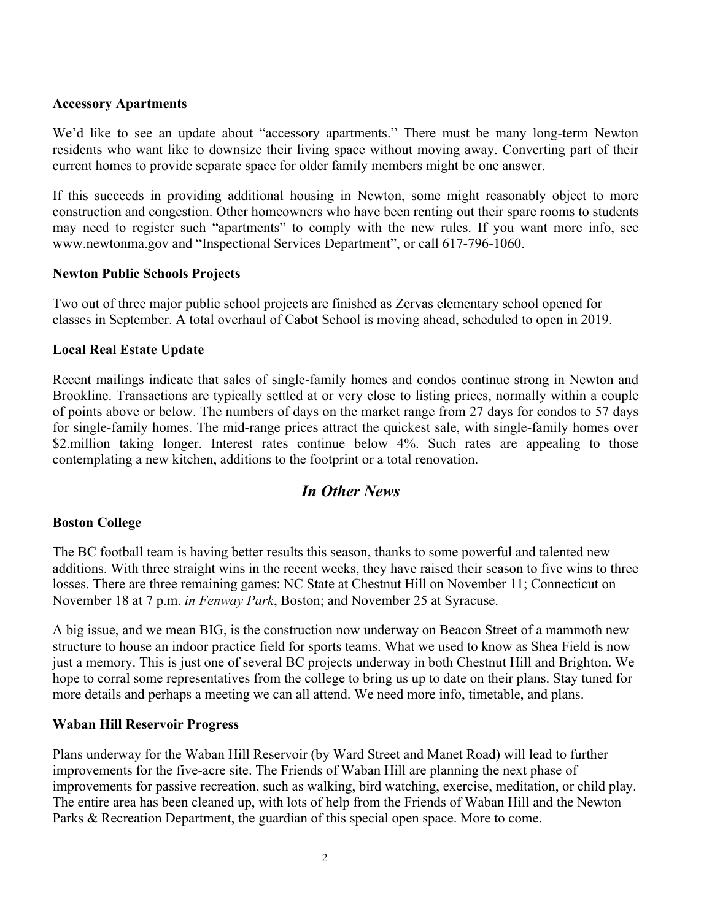#### **Accessory Apartments**

We'd like to see an update about "accessory apartments." There must be many long-term Newton residents who want like to downsize their living space without moving away. Converting part of their current homes to provide separate space for older family members might be one answer.

If this succeeds in providing additional housing in Newton, some might reasonably object to more construction and congestion. Other homeowners who have been renting out their spare rooms to students may need to register such "apartments" to comply with the new rules. If you want more info, see www.newtonma.gov and "Inspectional Services Department", or call 617-796-1060.

#### **Newton Public Schools Projects**

Two out of three major public school projects are finished as Zervas elementary school opened for classes in September. A total overhaul of Cabot School is moving ahead, scheduled to open in 2019.

### **Local Real Estate Update**

Recent mailings indicate that sales of single-family homes and condos continue strong in Newton and Brookline. Transactions are typically settled at or very close to listing prices, normally within a couple of points above or below. The numbers of days on the market range from 27 days for condos to 57 days for single-family homes. The mid-range prices attract the quickest sale, with single-family homes over \$2.million taking longer. Interest rates continue below 4%. Such rates are appealing to those contemplating a new kitchen, additions to the footprint or a total renovation.

# *In Other News*

#### **Boston College**

The BC football team is having better results this season, thanks to some powerful and talented new additions. With three straight wins in the recent weeks, they have raised their season to five wins to three losses. There are three remaining games: NC State at Chestnut Hill on November 11; Connecticut on November 18 at 7 p.m. *in Fenway Park*, Boston; and November 25 at Syracuse.

A big issue, and we mean BIG, is the construction now underway on Beacon Street of a mammoth new structure to house an indoor practice field for sports teams. What we used to know as Shea Field is now just a memory. This is just one of several BC projects underway in both Chestnut Hill and Brighton. We hope to corral some representatives from the college to bring us up to date on their plans. Stay tuned for more details and perhaps a meeting we can all attend. We need more info, timetable, and plans.

#### **Waban Hill Reservoir Progress**

Plans underway for the Waban Hill Reservoir (by Ward Street and Manet Road) will lead to further improvements for the five-acre site. The Friends of Waban Hill are planning the next phase of improvements for passive recreation, such as walking, bird watching, exercise, meditation, or child play. The entire area has been cleaned up, with lots of help from the Friends of Waban Hill and the Newton Parks & Recreation Department, the guardian of this special open space. More to come.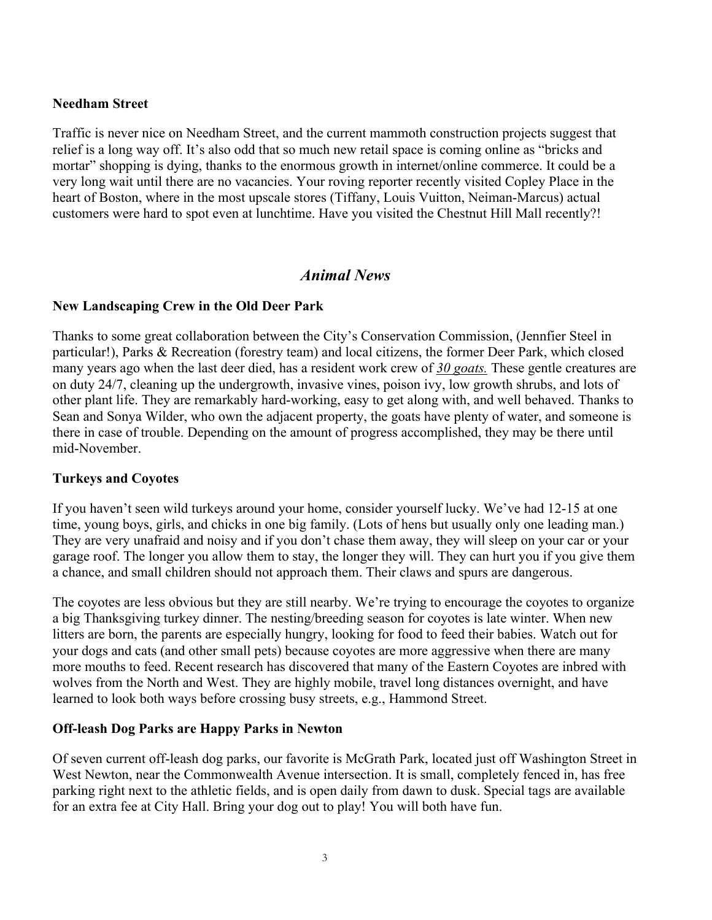### **Needham Street**

Traffic is never nice on Needham Street, and the current mammoth construction projects suggest that relief is a long way off. It's also odd that so much new retail space is coming online as "bricks and mortar" shopping is dying, thanks to the enormous growth in internet/online commerce. It could be a very long wait until there are no vacancies. Your roving reporter recently visited Copley Place in the heart of Boston, where in the most upscale stores (Tiffany, Louis Vuitton, Neiman-Marcus) actual customers were hard to spot even at lunchtime. Have you visited the Chestnut Hill Mall recently?!

# *Animal News*

### **New Landscaping Crew in the Old Deer Park**

Thanks to some great collaboration between the City's Conservation Commission, (Jennfier Steel in particular!), Parks & Recreation (forestry team) and local citizens, the former Deer Park, which closed many years ago when the last deer died, has a resident work crew of *30 goats.* These gentle creatures are on duty 24/7, cleaning up the undergrowth, invasive vines, poison ivy, low growth shrubs, and lots of other plant life. They are remarkably hard-working, easy to get along with, and well behaved. Thanks to Sean and Sonya Wilder, who own the adjacent property, the goats have plenty of water, and someone is there in case of trouble. Depending on the amount of progress accomplished, they may be there until mid-November.

# **Turkeys and Coyotes**

If you haven't seen wild turkeys around your home, consider yourself lucky. We've had 12-15 at one time, young boys, girls, and chicks in one big family. (Lots of hens but usually only one leading man.) They are very unafraid and noisy and if you don't chase them away, they will sleep on your car or your garage roof. The longer you allow them to stay, the longer they will. They can hurt you if you give them a chance, and small children should not approach them. Their claws and spurs are dangerous.

The coyotes are less obvious but they are still nearby. We're trying to encourage the coyotes to organize a big Thanksgiving turkey dinner. The nesting/breeding season for coyotes is late winter. When new litters are born, the parents are especially hungry, looking for food to feed their babies. Watch out for your dogs and cats (and other small pets) because coyotes are more aggressive when there are many more mouths to feed. Recent research has discovered that many of the Eastern Coyotes are inbred with wolves from the North and West. They are highly mobile, travel long distances overnight, and have learned to look both ways before crossing busy streets, e.g., Hammond Street.

# **Off-leash Dog Parks are Happy Parks in Newton**

Of seven current off-leash dog parks, our favorite is McGrath Park, located just off Washington Street in West Newton, near the Commonwealth Avenue intersection. It is small, completely fenced in, has free parking right next to the athletic fields, and is open daily from dawn to dusk. Special tags are available for an extra fee at City Hall. Bring your dog out to play! You will both have fun.